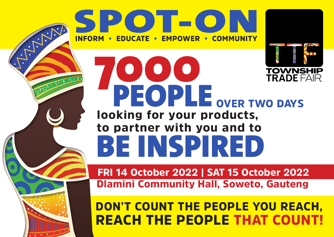

## 7000 **TOWNSHIP<br>TRADE FAIR** PEOPLE OVER TWO DAYS looking for your products, to partner with you and to BE INSPIRED

FRI 14 October 2022 | SAT 15 October 2022 Dlamini Community Hall, Soweto, Gauteng

### DON'T COUNT THE PEOPLE YOU REACH, REACH THE PEOPLE THAT COUNT!